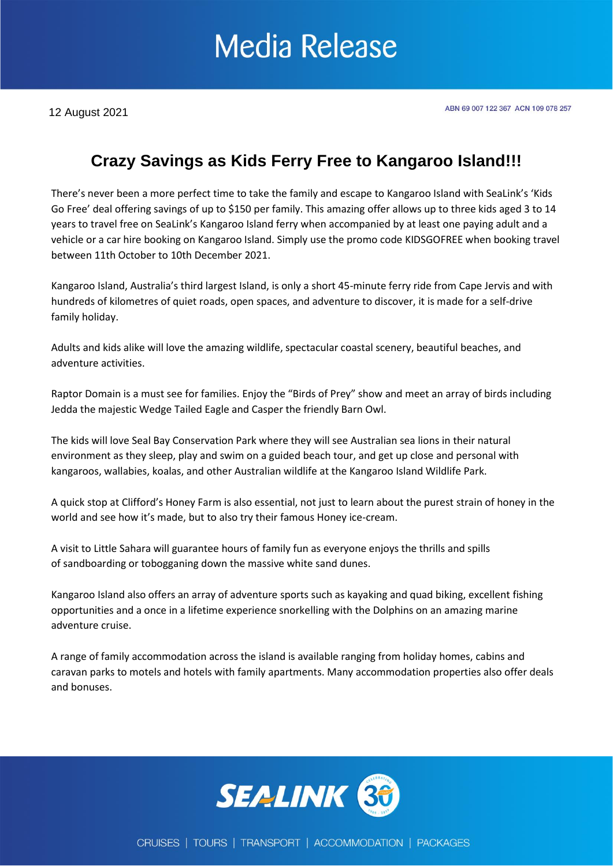## **Media Release**

### **Crazy Savings as Kids Ferry Free to Kangaroo Island!!!**

There's never been a more perfect time to take the family and escape to Kangaroo Island with SeaLink's 'Kids Go Free' deal offering savings of up to \$150 per family. This amazing offer allows up to three kids aged 3 to 14 years to travel free on SeaLink's Kangaroo Island ferry when accompanied by at least one paying adult and a vehicle or a car hire booking on Kangaroo Island. Simply use the promo code KIDSGOFREE when booking travel between 11th October to 10th December 2021.

Kangaroo Island, Australia's third largest Island, is only a short 45-minute ferry ride from Cape Jervis and with hundreds of kilometres of quiet roads, open spaces, and adventure to discover, it is made for a self-drive family holiday.

Adults and kids alike will love the amazing wildlife, spectacular coastal scenery, beautiful beaches, and adventure activities.

Raptor Domain is a must see for families. Enjoy the "Birds of Prey" show and meet an array of birds including Jedda the majestic Wedge Tailed Eagle and Casper the friendly Barn Owl.

The kids will love Seal Bay Conservation Park where they will see Australian sea lions in their natural environment as they sleep, play and swim on a guided beach tour, and get up close and personal with kangaroos, wallabies, koalas, and other Australian wildlife at the Kangaroo Island Wildlife Park.

A quick stop at Clifford's Honey Farm is also essential, not just to learn about the purest strain of honey in the world and see how it's made, but to also try their famous Honey ice-cream.

A visit to Little Sahara will guarantee hours of family fun as everyone enjoys the thrills and spills of sandboarding or tobogganing down the massive white sand dunes.

Kangaroo Island also offers an array of adventure sports such as kayaking and quad biking, excellent fishing opportunities and a once in a lifetime experience snorkelling with the Dolphins on an amazing marine adventure cruise.

A range of family accommodation across the island is available ranging from holiday homes, cabins and caravan parks to motels and hotels with family apartments. Many accommodation properties also offer deals and bonuses.